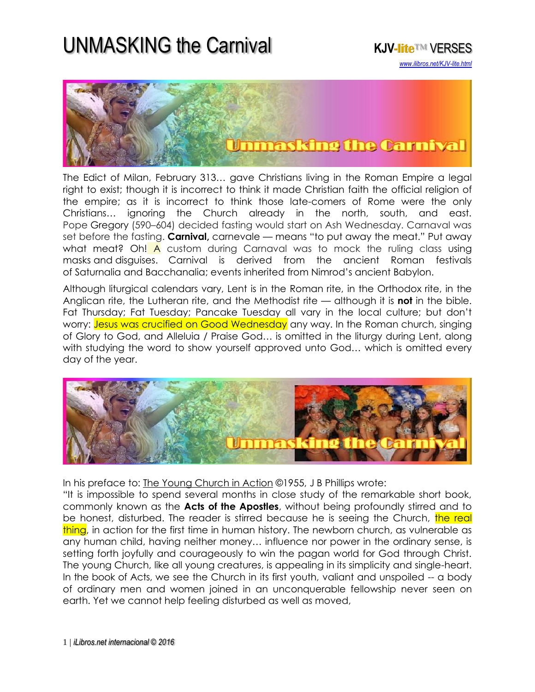## UNMASKING the Carnival **KJV-lite**™ VERSES





The Edict of Milan, February 313… gave Christians living in the Roman Empire a legal right to exist; though it is incorrect to think it made Christian faith the official religion of the empire; as it is incorrect to think those late-comers of Rome were the only Christians… ignoring the Church already in the north, south, and east. Pope Gregory (590–604) decided fasting would start on Ash Wednesday. Carnaval was set before the fasting. **Carnival,** carnevale *—* means "to put away the meat." Put away what meat? Oh! A custom during Carnaval was to mock the ruling class using masks and disguises. Carnival is derived from the ancient Roman festivals of Saturnalia and Bacchanalia; events inherited from Nimrod's ancient Babylon.

Although liturgical calendars vary, Lent is in the Roman rite, in the Orthodox rite, in the Anglican rite, the Lutheran rite, and the Methodist rite — although it is **not** in the bible. Fat Thursday; Fat Tuesday; Pancake Tuesday all vary in the local culture; but don't worry: Jesus was crucified on Good Wednesday any way. In the Roman church, singing of Glory to God, and Alleluia / Praise God… is omitted in the liturgy during Lent, along with studying the word to show yourself approved unto God… which is omitted every day of the year.



In his preface to: The Young Church in Action ©1955, J B Phillips wrote:

"It is impossible to spend several months in close study of the remarkable short book, commonly known as the **Acts of the Apostles**, without being profoundly stirred and to be honest, disturbed. The reader is stirred because he is seeing the Church, the real thing, in action for the first time in human history. The newborn church, as vulnerable as any human child, having neither money… influence nor power in the ordinary sense, is setting forth joyfully and courageously to win the pagan world for God through Christ. The young Church, like all young creatures, is appealing in its simplicity and single-heart. In the book of Acts, we see the Church in its first youth, valiant and unspoiled -- a body of ordinary men and women joined in an unconquerable fellowship never seen on earth. Yet we cannot help feeling disturbed as well as moved,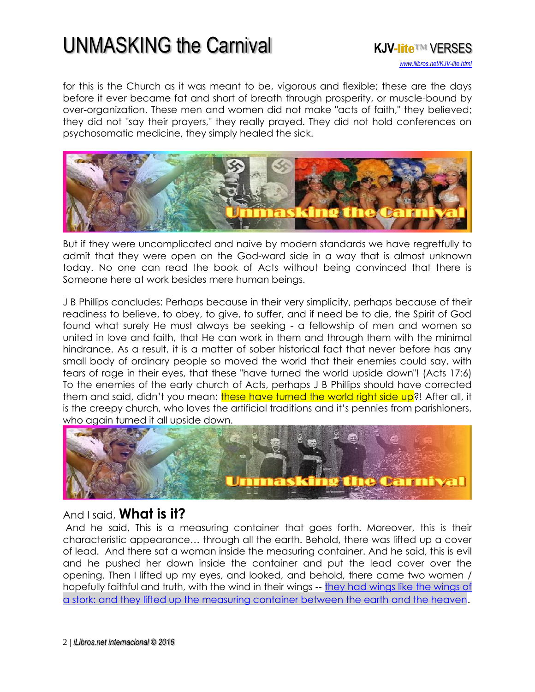## UNMASKING the Carnival **KJV-lite**™ VERSES



for this is the Church as it was meant to be, vigorous and flexible; these are the days before it ever became fat and short of breath through prosperity, or muscle-bound by over-organization. These men and women did not make "acts of faith," they believed; they did not "say their prayers," they really prayed. They did not hold conferences on psychosomatic medicine, they simply healed the sick.



But if they were uncomplicated and naive by modern standards we have regretfully to admit that they were open on the God-ward side in a way that is almost unknown today. No one can read the book of Acts without being convinced that there is Someone here at work besides mere human beings.

J B Phillips concludes: Perhaps because in their very simplicity, perhaps because of their readiness to believe, to obey, to give, to suffer, and if need be to die, the Spirit of God found what surely He must always be seeking - a fellowship of men and women so united in love and faith, that He can work in them and through them with the minimal hindrance. As a result, it is a matter of sober historical fact that never before has any small body of ordinary people so moved the world that their enemies could say, with tears of rage in their eyes, that these "have turned the world upside down"! (Acts 17:6) To the enemies of the early church of Acts, perhaps J B Phillips should have corrected them and said, didn't you mean: these have turned the world right side up?! After all, it is the creepy church, who loves the artificial traditions and it's pennies from parishioners, who again turned it all upside down.



## And I said, **What is it?**

And he said, This is a measuring container that goes forth. Moreover, this is their characteristic appearance… through all the earth. Behold, there was lifted up a cover of lead. And there sat a woman inside the measuring container. And he said, this is evil and he pushed her down inside the container and put the lead cover over the opening. Then I lifted up my eyes, and looked, and behold, there came two women / hopefully faithful and truth, with the wind in their wings -- [they had wings like the wings of](http://www.isa-net.org/pdf/ZECHARIAH5vs1.pdf)  [a stork: and they lifted up the measuring container between the earth and the heaven](http://www.isa-net.org/pdf/ZECHARIAH5vs1.pdf).